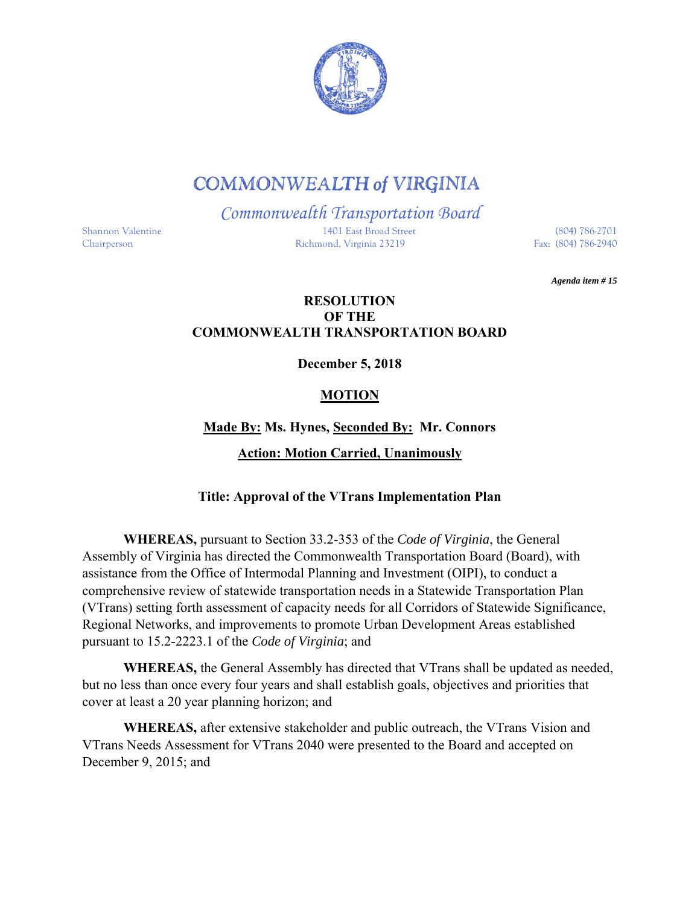

# **COMMONWEALTH of VIRGINIA**

*Commonwealth Transportation Board*  Shannon Valentine 1401 East Broad Street (804) 786-2701 Chairperson Richmond, Virginia 23219 Fax: (804) 786-2940

*Agenda item # 15* 

#### **RESOLUTION OF THE COMMONWEALTH TRANSPORTATION BOARD**

**December 5, 2018** 

### **MOTION**

## **Made By: Ms. Hynes, Seconded By: Mr. Connors Action: Motion Carried, Unanimously**

#### **Title: Approval of the VTrans Implementation Plan**

**WHEREAS,** pursuant to Section 33.2-353 of the *Code of Virginia*, the General Assembly of Virginia has directed the Commonwealth Transportation Board (Board), with assistance from the Office of Intermodal Planning and Investment (OIPI), to conduct a comprehensive review of statewide transportation needs in a Statewide Transportation Plan (VTrans) setting forth assessment of capacity needs for all Corridors of Statewide Significance, Regional Networks, and improvements to promote Urban Development Areas established pursuant to 15.2-2223.1 of the *Code of Virginia*; and

**WHEREAS,** the General Assembly has directed that VTrans shall be updated as needed, but no less than once every four years and shall establish goals, objectives and priorities that cover at least a 20 year planning horizon; and

**WHEREAS,** after extensive stakeholder and public outreach, the VTrans Vision and VTrans Needs Assessment for VTrans 2040 were presented to the Board and accepted on December 9, 2015; and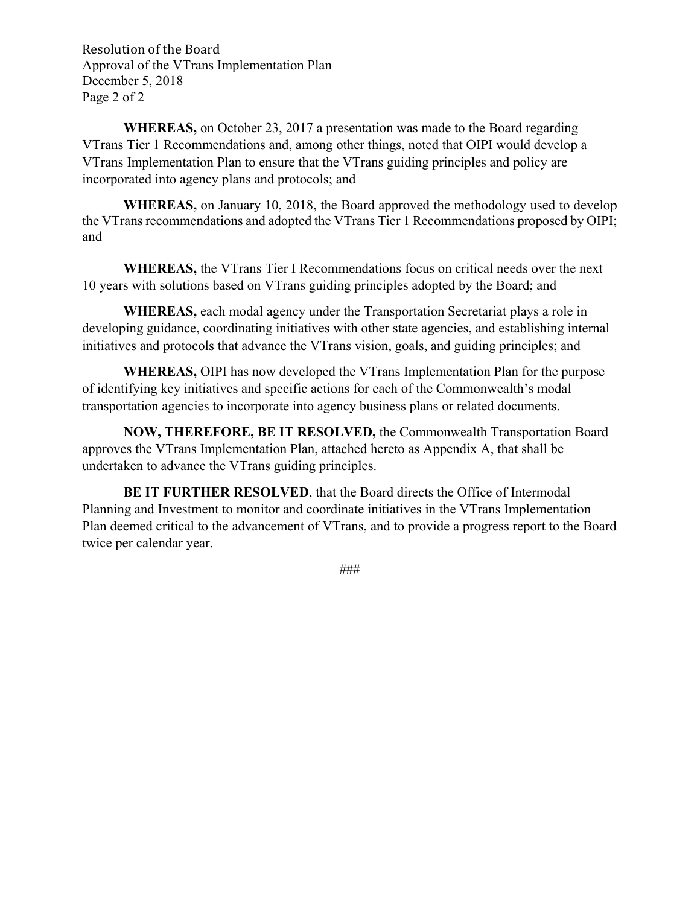Resolution of the Board Approval of the VTrans Implementation Plan December 5, 2018 Page 2 of 2

**WHEREAS,** on October 23, 2017 a presentation was made to the Board regarding VTrans Tier 1 Recommendations and, among other things, noted that OIPI would develop a VTrans Implementation Plan to ensure that the VTrans guiding principles and policy are incorporated into agency plans and protocols; and

**WHEREAS,** on January 10, 2018, the Board approved the methodology used to develop the VTrans recommendations and adopted the VTrans Tier 1 Recommendations proposed by OIPI; and

**WHEREAS,** the VTrans Tier I Recommendations focus on critical needs over the next 10 years with solutions based on VTrans guiding principles adopted by the Board; and

**WHEREAS,** each modal agency under the Transportation Secretariat plays a role in developing guidance, coordinating initiatives with other state agencies, and establishing internal initiatives and protocols that advance the VTrans vision, goals, and guiding principles; and

**WHEREAS,** OIPI has now developed the VTrans Implementation Plan for the purpose of identifying key initiatives and specific actions for each of the Commonwealth's modal transportation agencies to incorporate into agency business plans or related documents.

**NOW, THEREFORE, BE IT RESOLVED,** the Commonwealth Transportation Board approves the VTrans Implementation Plan, attached hereto as Appendix A, that shall be undertaken to advance the VTrans guiding principles.

**BE IT FURTHER RESOLVED, that the Board directs the Office of Intermodal** Planning and Investment to monitor and coordinate initiatives in the VTrans Implementation Plan deemed critical to the advancement of VTrans, and to provide a progress report to the Board twice per calendar year.

###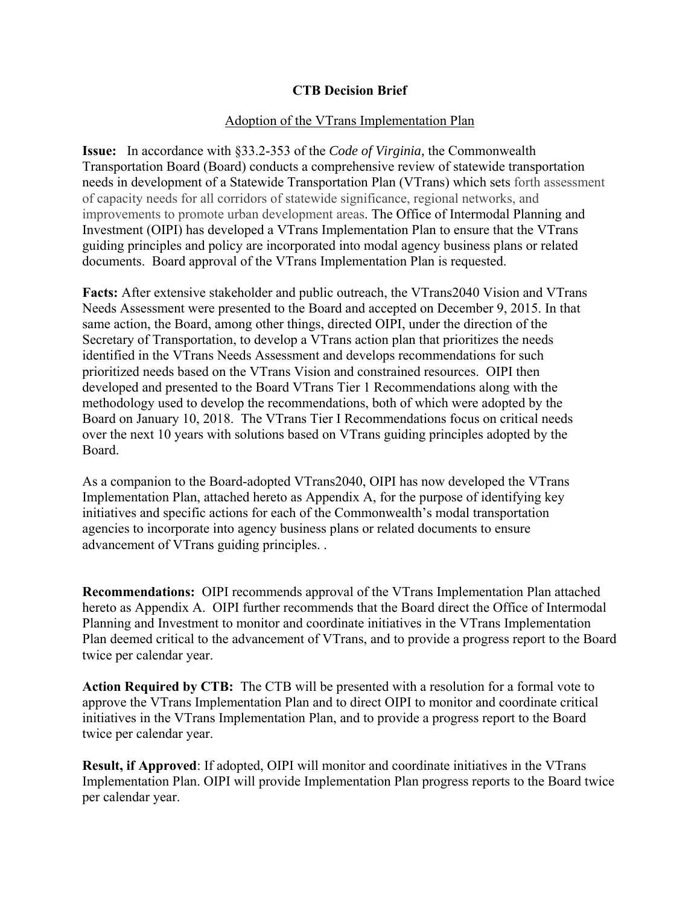#### **CTB Decision Brief**

#### Adoption of the VTrans Implementation Plan

**Issue:** In accordance with §33.2-353 of the *Code of Virginia,* the Commonwealth Transportation Board (Board) conducts a comprehensive review of statewide transportation needs in development of a Statewide Transportation Plan (VTrans) which sets forth assessment of capacity needs for all corridors of statewide significance, regional networks, and improvements to promote urban development areas. The Office of Intermodal Planning and Investment (OIPI) has developed a VTrans Implementation Plan to ensure that the VTrans guiding principles and policy are incorporated into modal agency business plans or related documents. Board approval of the VTrans Implementation Plan is requested.

**Facts:** After extensive stakeholder and public outreach, the VTrans2040 Vision and VTrans Needs Assessment were presented to the Board and accepted on December 9, 2015. In that same action, the Board, among other things, directed OIPI, under the direction of the Secretary of Transportation, to develop a VTrans action plan that prioritizes the needs identified in the VTrans Needs Assessment and develops recommendations for such prioritized needs based on the VTrans Vision and constrained resources. OIPI then developed and presented to the Board VTrans Tier 1 Recommendations along with the methodology used to develop the recommendations, both of which were adopted by the Board on January 10, 2018. The VTrans Tier I Recommendations focus on critical needs over the next 10 years with solutions based on VTrans guiding principles adopted by the Board.

As a companion to the Board-adopted VTrans2040, OIPI has now developed the VTrans Implementation Plan, attached hereto as Appendix A, for the purpose of identifying key initiatives and specific actions for each of the Commonwealth's modal transportation agencies to incorporate into agency business plans or related documents to ensure advancement of VTrans guiding principles. .

**Recommendations:** OIPI recommends approval of the VTrans Implementation Plan attached hereto as Appendix A. OIPI further recommends that the Board direct the Office of Intermodal Planning and Investment to monitor and coordinate initiatives in the VTrans Implementation Plan deemed critical to the advancement of VTrans, and to provide a progress report to the Board twice per calendar year.

**Action Required by CTB:** The CTB will be presented with a resolution for a formal vote to approve the VTrans Implementation Plan and to direct OIPI to monitor and coordinate critical initiatives in the VTrans Implementation Plan, and to provide a progress report to the Board twice per calendar year.

**Result, if Approved**: If adopted, OIPI will monitor and coordinate initiatives in the VTrans Implementation Plan. OIPI will provide Implementation Plan progress reports to the Board twice per calendar year.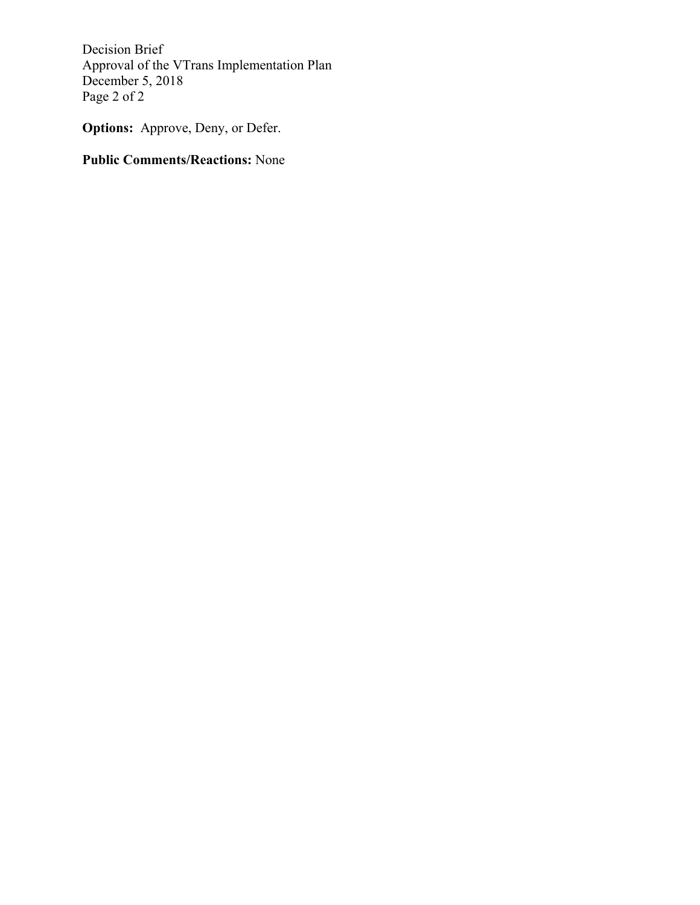Decision Brief Approval of the VTrans Implementation Plan December 5, 2018 Page 2 of 2

**Options:** Approve, Deny, or Defer.

### **Public Comments/Reactions:** None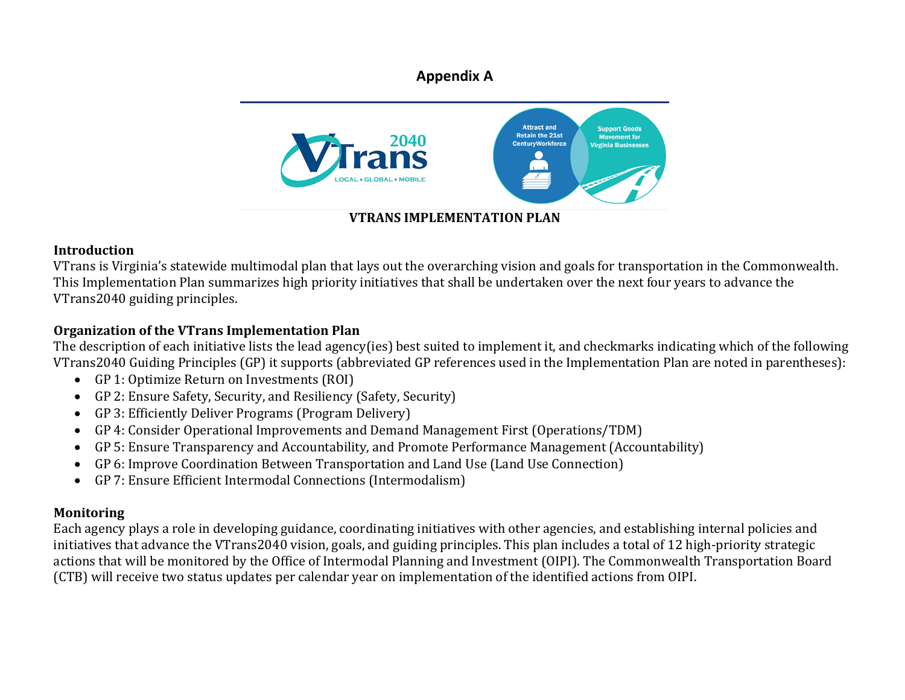### **Appendix A**



### **VTRANS IMPLEMENTATION PLAN**

#### **Introduction**

VTrans is Virginia's statewide multimodal plan that lays out the overarching vision and goals for transportation in the Commonwealth. This Implementation Plan summarizes high priority initiatives that shall be undertaken over the next four years to advance the VTrans2040 guiding principles.

### **Organization of the VTrans Implementation Plan**

The description of each initiative lists the lead agency(ies) best suited to implement it, and checkmarks indicating which of the following VTrans2040 Guiding Principles (GP) it supports (abbreviated GP references used in the Implementation Plan are noted in parentheses):

- GP 1: Optimize Return on Investments  $(ROI)$
- GP 2: Ensure Safety, Security, and Resiliency (Safety, Security)
- GP 3: Efficiently Deliver Programs (Program Delivery)
- GP 4: Consider Operational Improvements and Demand Management First (Operations/TDM)
- $\bullet$ GP 5: Ensure Transparency and Accountability, and Promote Performance Management (Accountability)
- $\bullet$ GP 6: Improve Coordination Between Transportation and Land Use (Land Use Connection)
- GP 7: Ensure Efficient Intermodal Connections (Intermodalism)

### **Monitoring**

Each agency plays a role in developing guidance, coordinating initiatives with other agencies, and establishing internal policies and initiatives that advance the VTrans2040 vision, goals, and guiding principles. This plan includes a total of 12 high-priority strategic actions that will be monitored by the Office of Intermodal Planning and Investment (OIPI). The Commonwealth Transportation Board (CTB) will receive two status updates per calendar year on implementation of the identified actions from OIPI.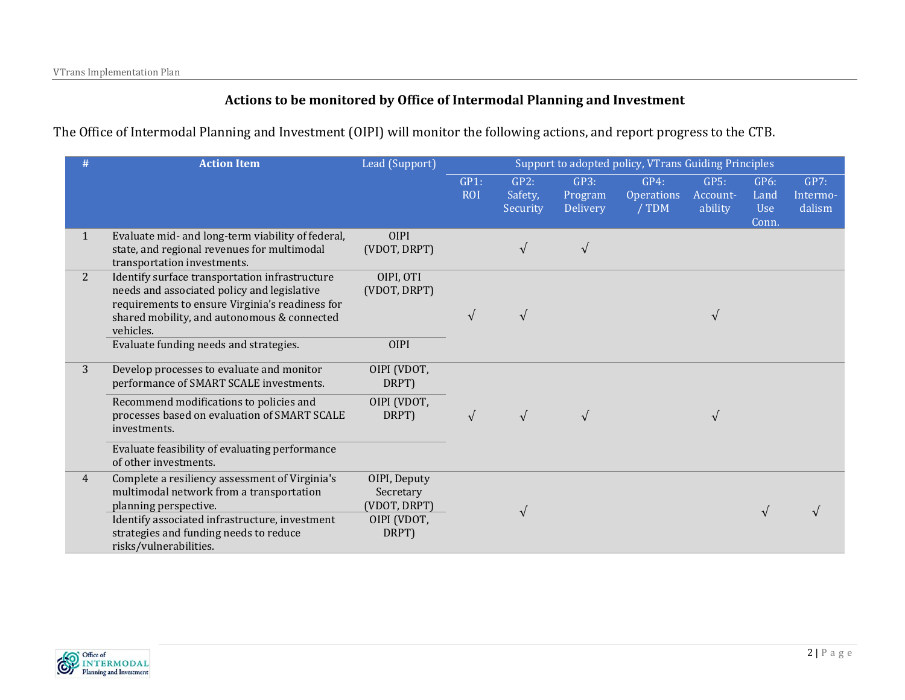#### **Actions to be monitored by Office of Intermodal Planning and Investment**

The Office of Intermodal Planning and Investment (OIPI) will monitor the following actions, and report progress to the CTB.

|                | <b>Action Item</b>                                                                                                                                                                                                                                     | Lead (Support)                                                    | Support to adopted policy, VTrans Guiding Principles |                             |                             |                                    |                             |                              |                            |
|----------------|--------------------------------------------------------------------------------------------------------------------------------------------------------------------------------------------------------------------------------------------------------|-------------------------------------------------------------------|------------------------------------------------------|-----------------------------|-----------------------------|------------------------------------|-----------------------------|------------------------------|----------------------------|
|                |                                                                                                                                                                                                                                                        |                                                                   | GP1:<br><b>ROI</b>                                   | GP2:<br>Safety,<br>Security | GP3:<br>Program<br>Delivery | GP4:<br><b>Operations</b><br>/ TDM | GPS:<br>Account-<br>ability | GP6:<br>Land<br>Use<br>Conn. | GP7:<br>Intermo-<br>dalism |
| $\mathbf{1}$   | Evaluate mid- and long-term viability of federal,<br>state, and regional revenues for multimodal<br>transportation investments.                                                                                                                        | <b>OIPI</b><br>(VDOT, DRPT)                                       |                                                      | $\sqrt{}$                   | $\sqrt{ }$                  |                                    |                             |                              |                            |
| $\overline{2}$ | Identify surface transportation infrastructure<br>needs and associated policy and legislative<br>requirements to ensure Virginia's readiness for<br>shared mobility, and autonomous & connected<br>vehicles.<br>Evaluate funding needs and strategies. | OIPI, OTI<br>(VDOT, DRPT)<br><b>OIPI</b>                          | $\sqrt{ }$                                           | $\sqrt{}$                   |                             |                                    | $\sqrt{ }$                  |                              |                            |
| 3              | Develop processes to evaluate and monitor<br>performance of SMART SCALE investments.<br>Recommend modifications to policies and<br>processes based on evaluation of SMART SCALE<br>investments.                                                        | OIPI (VDOT,<br>DRPT)<br>OIPI (VDOT,<br>DRPT)                      | $\sqrt{ }$                                           |                             |                             |                                    | $\mathbf \nu$               |                              |                            |
|                | Evaluate feasibility of evaluating performance<br>of other investments.                                                                                                                                                                                |                                                                   |                                                      |                             |                             |                                    |                             |                              |                            |
| 4              | Complete a resiliency assessment of Virginia's<br>multimodal network from a transportation<br>planning perspective.<br>Identify associated infrastructure, investment<br>strategies and funding needs to reduce<br>risks/vulnerabilities.              | OIPI, Deputy<br>Secretary<br>(VDOT, DRPT)<br>OIPI (VDOT,<br>DRPT) |                                                      | V                           |                             |                                    |                             | $\sqrt{ }$                   |                            |

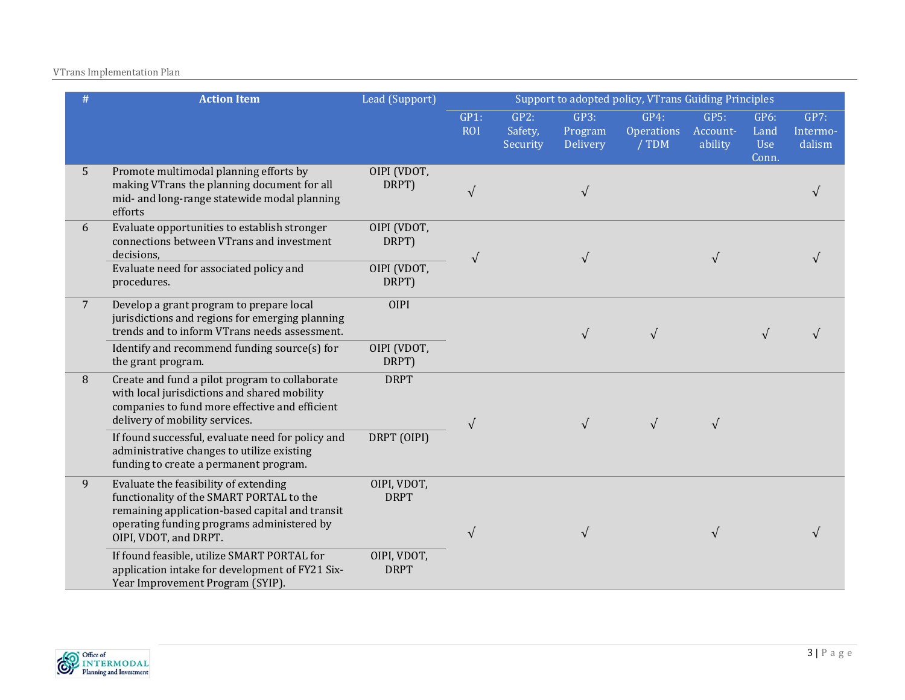#### VTrans Implementation Plan

|                 | <b>Action Item</b>                                                                                                                                                                                          | Lead (Support)             | Support to adopted policy, VTrans Guiding Principles |                             |                             |                                    |                             |                                     |                            |  |
|-----------------|-------------------------------------------------------------------------------------------------------------------------------------------------------------------------------------------------------------|----------------------------|------------------------------------------------------|-----------------------------|-----------------------------|------------------------------------|-----------------------------|-------------------------------------|----------------------------|--|
|                 |                                                                                                                                                                                                             |                            | GP1:<br><b>ROI</b>                                   | GP2:<br>Safety,<br>Security | GP3:<br>Program<br>Delivery | GP4:<br><b>Operations</b><br>/ TDM | GP5:<br>Account-<br>ability | GP6:<br>Land<br><b>Use</b><br>Conn. | GP7:<br>Intermo-<br>dalism |  |
| 5 <sup>5</sup>  | Promote multimodal planning efforts by<br>making VTrans the planning document for all<br>mid- and long-range statewide modal planning<br>efforts                                                            | OIPI (VDOT,<br>DRPT)       | $\sqrt{ }$                                           |                             | $\sqrt{ }$                  |                                    |                             |                                     |                            |  |
| 6               | Evaluate opportunities to establish stronger<br>connections between VTrans and investment<br>decisions,                                                                                                     | OIPI (VDOT,<br>DRPT)       | $\sqrt{ }$                                           |                             |                             |                                    | $\sqrt{ }$                  |                                     |                            |  |
|                 | Evaluate need for associated policy and<br>procedures.                                                                                                                                                      | OIPI (VDOT,<br>DRPT)       |                                                      |                             |                             |                                    |                             |                                     |                            |  |
| $7\phantom{.0}$ | Develop a grant program to prepare local<br>jurisdictions and regions for emerging planning<br>trends and to inform VTrans needs assessment.                                                                | <b>OIPI</b>                |                                                      |                             | $\sqrt{ }$                  | $\sqrt{ }$                         |                             | $\sqrt{ }$                          |                            |  |
|                 | Identify and recommend funding source(s) for<br>the grant program.                                                                                                                                          | OIPI (VDOT,<br>DRPT)       |                                                      |                             |                             |                                    |                             |                                     |                            |  |
| 8               | Create and fund a pilot program to collaborate<br>with local jurisdictions and shared mobility<br>companies to fund more effective and efficient<br>delivery of mobility services.                          | <b>DRPT</b>                | $\sqrt{ }$                                           |                             |                             | $\sqrt{ }$                         | $\sqrt{ }$                  |                                     |                            |  |
|                 | If found successful, evaluate need for policy and<br>administrative changes to utilize existing<br>funding to create a permanent program.                                                                   | DRPT (OIPI)                |                                                      |                             |                             |                                    |                             |                                     |                            |  |
| 9               | Evaluate the feasibility of extending<br>functionality of the SMART PORTAL to the<br>remaining application-based capital and transit<br>operating funding programs administered by<br>OIPI, VDOT, and DRPT. | OIPI, VDOT,<br><b>DRPT</b> | $\sqrt{ }$                                           |                             |                             |                                    | $\sqrt{ }$                  |                                     |                            |  |
|                 | If found feasible, utilize SMART PORTAL for<br>application intake for development of FY21 Six-<br>Year Improvement Program (SYIP).                                                                          | OIPI, VDOT,<br><b>DRPT</b> |                                                      |                             |                             |                                    |                             |                                     |                            |  |